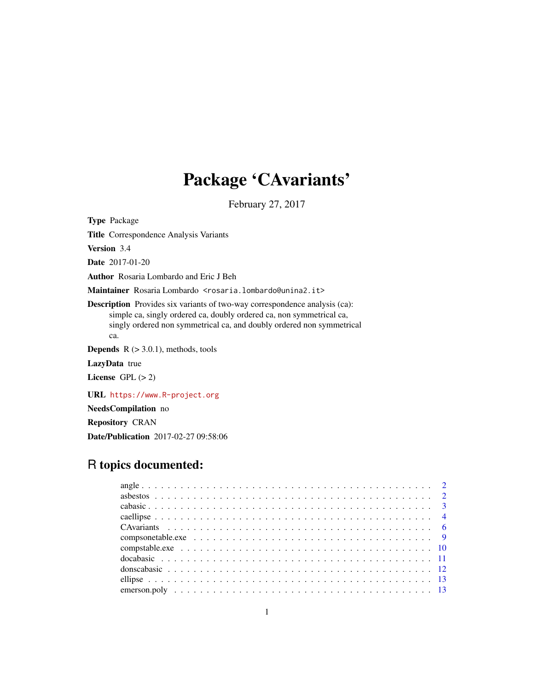# Package 'CAvariants'

February 27, 2017

Type Package

Title Correspondence Analysis Variants

Version 3.4

Date 2017-01-20

Author Rosaria Lombardo and Eric J Beh

Maintainer Rosaria Lombardo <rosaria.lombardo@unina2.it>

Description Provides six variants of two-way correspondence analysis (ca): simple ca, singly ordered ca, doubly ordered ca, non symmetrical ca, singly ordered non symmetrical ca, and doubly ordered non symmetrical ca.

**Depends**  $R$  ( $>$  3.0.1), methods, tools

LazyData true

License GPL  $(> 2)$ 

URL <https://www.R-project.org>

NeedsCompilation no

Repository CRAN

Date/Publication 2017-02-27 09:58:06

# R topics documented: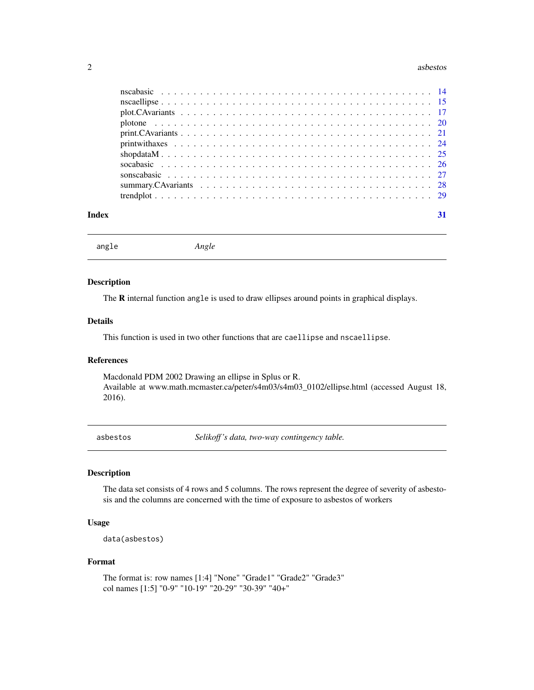#### <span id="page-1-0"></span>2 asbestos as a specific extensive proposal as a specific extensive proposal as best of the set of the set of the set of the set of the set of the set of the set of the set of the set of the set of the set of the set of th

| Index | 31 |
|-------|----|

angle *Angle*

# Description

The **R** internal function angle is used to draw ellipses around points in graphical displays.

# Details

This function is used in two other functions that are caellipse and nscaellipse.

### References

Macdonald PDM 2002 Drawing an ellipse in Splus or R. Available at www.math.mcmaster.ca/peter/s4m03/s4m03\_0102/ellipse.html (accessed August 18, 2016).

asbestos *Selikoff 's data, two-way contingency table.*

# Description

The data set consists of 4 rows and 5 columns. The rows represent the degree of severity of asbestosis and the columns are concerned with the time of exposure to asbestos of workers

# Usage

```
data(asbestos)
```
#### Format

The format is: row names [1:4] "None" "Grade1" "Grade2" "Grade3" col names [1:5] "0-9" "10-19" "20-29" "30-39" "40+"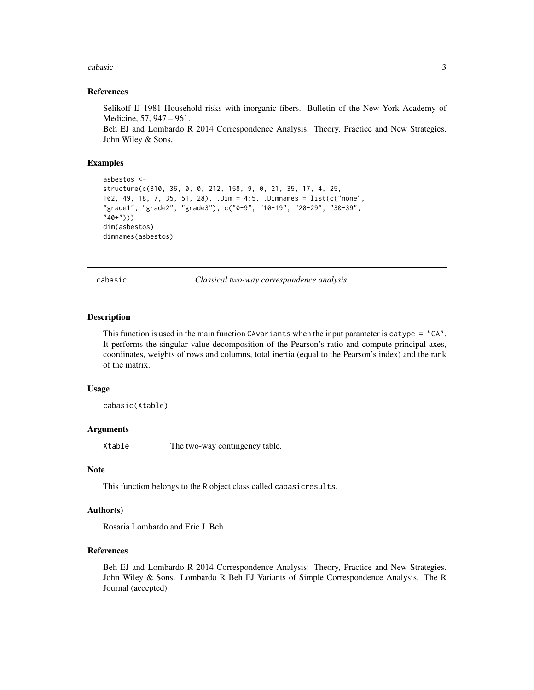#### <span id="page-2-0"></span>cabasic 3 and 3 and 3 and 3 and 3 and 3 and 3 and 3 and 3 and 3 and 3 and 3 and 3 and 3 and 3 and 3 and 3 and 3 and 3 and 3 and 3 and 3 and 3 and 3 and 3 and 3 and 3 and 3 and 3 and 3 and 3 and 3 and 3 and 3 and 3 and 3 an

#### References

Selikoff IJ 1981 Household risks with inorganic fibers. Bulletin of the New York Academy of Medicine, 57, 947 – 961.

Beh EJ and Lombardo R 2014 Correspondence Analysis: Theory, Practice and New Strategies. John Wiley & Sons.

#### Examples

```
asbestos <-
structure(c(310, 36, 0, 0, 212, 158, 9, 0, 21, 35, 17, 4, 25,
102, 49, 18, 7, 35, 51, 28), .Dim = 4:5, .Dimnames = list(c("none",
"grade1", "grade2", "grade3"), c("0-9", "10-19", "20-29", "30-39",
"40+")))
dim(asbestos)
dimnames(asbestos)
```
cabasic *Classical two-way correspondence analysis*

#### **Description**

This function is used in the main function CAvariants when the input parameter is catype = "CA". It performs the singular value decomposition of the Pearson's ratio and compute principal axes, coordinates, weights of rows and columns, total inertia (equal to the Pearson's index) and the rank of the matrix.

#### Usage

cabasic(Xtable)

#### Arguments

Xtable The two-way contingency table.

#### Note

This function belongs to the R object class called cabasicresults.

#### Author(s)

Rosaria Lombardo and Eric J. Beh

#### References

Beh EJ and Lombardo R 2014 Correspondence Analysis: Theory, Practice and New Strategies. John Wiley & Sons. Lombardo R Beh EJ Variants of Simple Correspondence Analysis. The R Journal (accepted).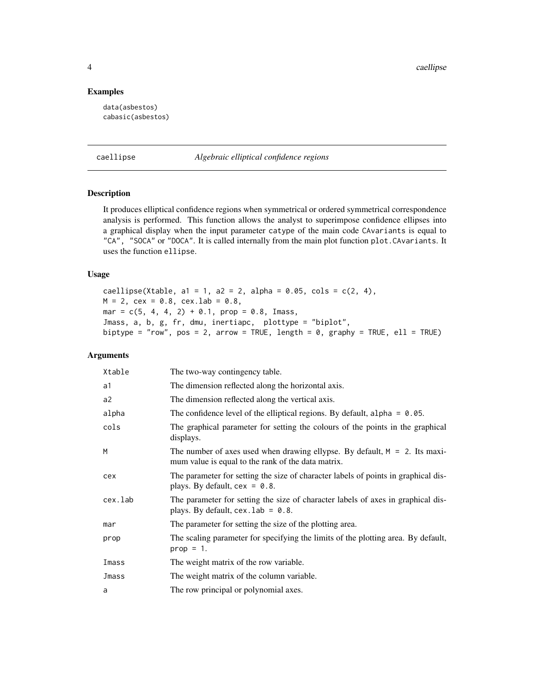4 caellipse

# Examples

data(asbestos) cabasic(asbestos)

caellipse *Algebraic elliptical confidence regions*

# Description

It produces elliptical confidence regions when symmetrical or ordered symmetrical correspondence analysis is performed. This function allows the analyst to superimpose confidence ellipses into a graphical display when the input parameter catype of the main code CAvariants is equal to "CA", "SOCA" or "DOCA". It is called internally from the main plot function plot.CAvariants. It uses the function ellipse.

# Usage

caellipse(Xtable, a1 = 1, a2 = 2, alpha =  $0.05$ , cols =  $c(2, 4)$ ,  $M = 2$ , cex = 0.8, cex.lab = 0.8, mar =  $c(5, 4, 4, 2) + 0.1$ , prop = 0.8, Imass, Jmass, a, b, g, fr, dmu, inertiapc, plottype = "biplot", biptype = "row", pos = 2, arrow = TRUE, length =  $\theta$ , graphy = TRUE, ell = TRUE)

# Arguments

| Xtable  | The two-way contingency table.                                                                                                      |
|---------|-------------------------------------------------------------------------------------------------------------------------------------|
| a1      | The dimension reflected along the horizontal axis.                                                                                  |
| a2      | The dimension reflected along the vertical axis.                                                                                    |
| alpha   | The confidence level of the elliptical regions. By default, alpha = $0.05$ .                                                        |
| cols    | The graphical parameter for setting the colours of the points in the graphical<br>displays.                                         |
| M       | The number of axes used when drawing ellypse. By default, $M = 2$ . Its maxi-<br>mum value is equal to the rank of the data matrix. |
| cex     | The parameter for setting the size of character labels of points in graphical dis-<br>plays. By default, $cex = 0.8$ .              |
| cex.lab | The parameter for setting the size of character labels of axes in graphical dis-<br>plays. By default, $cex$ . lab = 0.8.           |
| mar     | The parameter for setting the size of the plotting area.                                                                            |
| prop    | The scaling parameter for specifying the limits of the plotting area. By default,<br>$prop = 1$ .                                   |
| Imass   | The weight matrix of the row variable.                                                                                              |
| Jmass   | The weight matrix of the column variable.                                                                                           |
| a       | The row principal or polynomial axes.                                                                                               |

<span id="page-3-0"></span>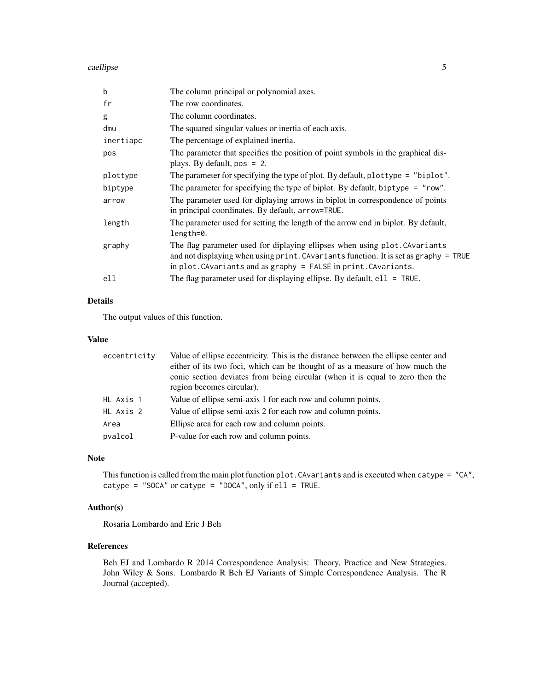caellipse 5

| b         | The column principal or polynomial axes.                                                                                                                                                                                                      |
|-----------|-----------------------------------------------------------------------------------------------------------------------------------------------------------------------------------------------------------------------------------------------|
| fr        | The row coordinates.                                                                                                                                                                                                                          |
| g         | The column coordinates.                                                                                                                                                                                                                       |
| dmu       | The squared singular values or inertia of each axis.                                                                                                                                                                                          |
| inertiapc | The percentage of explained inertia.                                                                                                                                                                                                          |
| pos       | The parameter that specifies the position of point symbols in the graphical dis-<br>plays. By default, $pos = 2$ .                                                                                                                            |
| plottype  | The parameter for specifying the type of plot. By default, plottype = "biplot".                                                                                                                                                               |
| biptype   | The parameter for specifying the type of biplot. By default, biptype = $"row".$                                                                                                                                                               |
| arrow     | The parameter used for diplaying arrows in biplot in correspondence of points<br>in principal coordinates. By default, arrow=TRUE.                                                                                                            |
| length    | The parameter used for setting the length of the arrow end in biplot. By default,<br>length=0.                                                                                                                                                |
| graphy    | The flag parameter used for diplaying ellipses when using plot. CAvariants<br>and not displaying when using print. CAvariants function. It is set as graphy = TRUE<br>in $plot$ . CAvariants and as graphy = $FALSE$ in $print$ . CAvariants. |
| ell       | The flag parameter used for displaying ellipse. By default, $e11 = \text{TRUE}$ .                                                                                                                                                             |
|           |                                                                                                                                                                                                                                               |

# Details

The output values of this function.

#### Value

| eccentricity | Value of ellipse eccentricity. This is the distance between the ellipse center and<br>either of its two foci, which can be thought of as a measure of how much the<br>conic section deviates from being circular (when it is equal to zero then the |
|--------------|-----------------------------------------------------------------------------------------------------------------------------------------------------------------------------------------------------------------------------------------------------|
|              | region becomes circular).                                                                                                                                                                                                                           |
| HL Axis 1    | Value of ellipse semi-axis 1 for each row and column points.                                                                                                                                                                                        |
| HL Axis 2    | Value of ellipse semi-axis 2 for each row and column points.                                                                                                                                                                                        |
| Area         | Ellipse area for each row and column points.                                                                                                                                                                                                        |
| pvalcol      | P-value for each row and column points.                                                                                                                                                                                                             |

# Note

This function is called from the main plot function plot.CAvariants and is executed when catype = "CA", catype = "SOCA" or catype = "DOCA", only if  $ell = TRUE$ .

# Author(s)

Rosaria Lombardo and Eric J Beh

# References

Beh EJ and Lombardo R 2014 Correspondence Analysis: Theory, Practice and New Strategies. John Wiley & Sons. Lombardo R Beh EJ Variants of Simple Correspondence Analysis. The R Journal (accepted).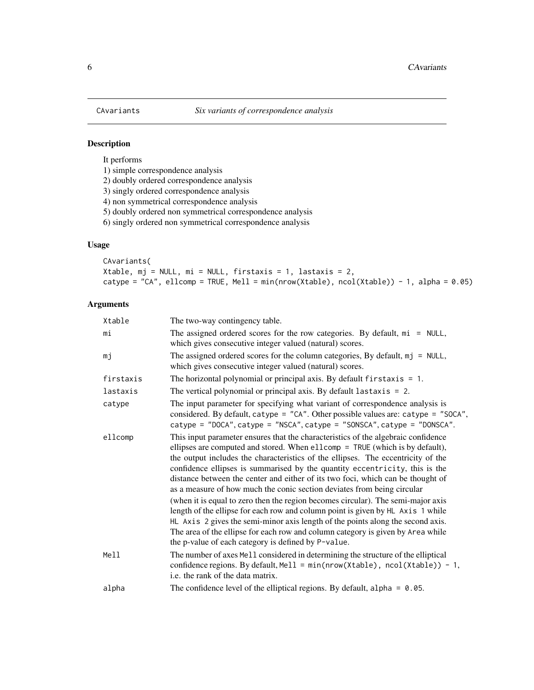<span id="page-5-0"></span>

It performs

1) simple correspondence analysis

2) doubly ordered correspondence analysis

3) singly ordered correspondence analysis

4) non symmetrical correspondence analysis

5) doubly ordered non symmetrical correspondence analysis

6) singly ordered non symmetrical correspondence analysis

# Usage

CAvariants( Xtable, mj = NULL, mi = NULL, firstaxis = 1, lastaxis = 2, catype = "CA", ellcomp = TRUE, Mell = min(nrow(Xtable), ncol(Xtable)) - 1, alpha = 0.05)

# Arguments

| Xtable    | The two-way contingency table.                                                                                                                                                                                                                                                                                                                                                                                                                                                                                                                                                                                                                                                                                                                                                                                                                                                                         |
|-----------|--------------------------------------------------------------------------------------------------------------------------------------------------------------------------------------------------------------------------------------------------------------------------------------------------------------------------------------------------------------------------------------------------------------------------------------------------------------------------------------------------------------------------------------------------------------------------------------------------------------------------------------------------------------------------------------------------------------------------------------------------------------------------------------------------------------------------------------------------------------------------------------------------------|
| mi        | The assigned ordered scores for the row categories. By default, $m\text{i}$ = NULL,<br>which gives consecutive integer valued (natural) scores.                                                                                                                                                                                                                                                                                                                                                                                                                                                                                                                                                                                                                                                                                                                                                        |
| mj        | The assigned ordered scores for the column categories, By default, $mj = NULL$ ,<br>which gives consecutive integer valued (natural) scores.                                                                                                                                                                                                                                                                                                                                                                                                                                                                                                                                                                                                                                                                                                                                                           |
| firstaxis | The horizontal polynomial or principal axis. By default $firstaxis = 1$ .                                                                                                                                                                                                                                                                                                                                                                                                                                                                                                                                                                                                                                                                                                                                                                                                                              |
| lastaxis  | The vertical polynomial or principal axis. By default lastaxis $= 2$ .                                                                                                                                                                                                                                                                                                                                                                                                                                                                                                                                                                                                                                                                                                                                                                                                                                 |
| catype    | The input parameter for specifying what variant of correspondence analysis is<br>considered. By default, catype = "CA". Other possible values are: catype = "SOCA",<br>catype = "DOCA", catype = "NSCA", catype = "SONSCA", catype = "DONSCA".                                                                                                                                                                                                                                                                                                                                                                                                                                                                                                                                                                                                                                                         |
| ellcomp   | This input parameter ensures that the characteristics of the algebraic confidence<br>ellipses are computed and stored. When ellcomp = TRUE (which is by default),<br>the output includes the characteristics of the ellipses. The eccentricity of the<br>confidence ellipses is summarised by the quantity eccentricity, this is the<br>distance between the center and either of its two foci, which can be thought of<br>as a measure of how much the conic section deviates from being circular<br>(when it is equal to zero then the region becomes circular). The semi-major axis<br>length of the ellipse for each row and column point is given by HL Axis 1 while<br>HL Axis 2 gives the semi-minor axis length of the points along the second axis.<br>The area of the ellipse for each row and column category is given by Area while<br>the p-value of each category is defined by P-value. |
| Mell      | The number of axes Mell considered in determining the structure of the elliptical<br>confidence regions. By default, Mell = min(nrow(Xtable), ncol(Xtable)) - 1,<br>i.e. the rank of the data matrix.                                                                                                                                                                                                                                                                                                                                                                                                                                                                                                                                                                                                                                                                                                  |
| alpha     | The confidence level of the elliptical regions. By default, alpha = $0.05$ .                                                                                                                                                                                                                                                                                                                                                                                                                                                                                                                                                                                                                                                                                                                                                                                                                           |
|           |                                                                                                                                                                                                                                                                                                                                                                                                                                                                                                                                                                                                                                                                                                                                                                                                                                                                                                        |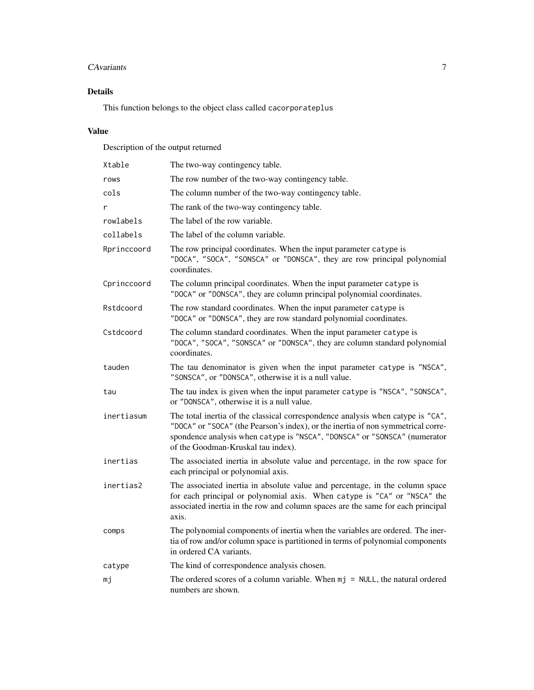# CAvariants 7

# Details

This function belongs to the object class called cacorporateplus

# Value

Description of the output returned

| Xtable      | The two-way contingency table.                                                                                                                                                                                                                                                         |
|-------------|----------------------------------------------------------------------------------------------------------------------------------------------------------------------------------------------------------------------------------------------------------------------------------------|
| rows        | The row number of the two-way contingency table.                                                                                                                                                                                                                                       |
| cols        | The column number of the two-way contingency table.                                                                                                                                                                                                                                    |
| r           | The rank of the two-way contingency table.                                                                                                                                                                                                                                             |
| rowlabels   | The label of the row variable.                                                                                                                                                                                                                                                         |
| collabels   | The label of the column variable.                                                                                                                                                                                                                                                      |
| Rprinccoord | The row principal coordinates. When the input parameter catype is<br>"DOCA", "SOCA", "SONSCA" or "DONSCA", they are row principal polynomial<br>coordinates.                                                                                                                           |
| Cprinccoord | The column principal coordinates. When the input parameter catype is<br>"DOCA" or "DONSCA", they are column principal polynomial coordinates.                                                                                                                                          |
| Rstdcoord   | The row standard coordinates. When the input parameter catype is<br>"DOCA" or "DONSCA", they are row standard polynomial coordinates.                                                                                                                                                  |
| Cstdcoord   | The column standard coordinates. When the input parameter catype is<br>"DOCA", "SOCA", "SONSCA" or "DONSCA", they are column standard polynomial<br>coordinates.                                                                                                                       |
| tauden      | The tau denominator is given when the input parameter catype is "NSCA",<br>"SONSCA", or "DONSCA", otherwise it is a null value.                                                                                                                                                        |
| tau         | The tau index is given when the input parameter catype is "NSCA", "SONSCA",<br>or "DONSCA", otherwise it is a null value.                                                                                                                                                              |
| inertiasum  | The total inertia of the classical correspondence analysis when catype is "CA",<br>"DOCA" or "SOCA" (the Pearson's index), or the inertia of non symmetrical corre-<br>spondence analysis when catype is "NSCA", "DONSCA" or "SONSCA" (numerator<br>of the Goodman-Kruskal tau index). |
| inertias    | The associated inertia in absolute value and percentage, in the row space for<br>each principal or polynomial axis.                                                                                                                                                                    |
| inertias2   | The associated inertia in absolute value and percentage, in the column space<br>for each principal or polynomial axis. When catype is "CA" or "NSCA" the<br>associated inertia in the row and column spaces are the same for each principal<br>axis.                                   |
| comps       | The polynomial components of inertia when the variables are ordered. The iner-<br>tia of row and/or column space is partitioned in terms of polynomial components<br>in ordered CA variants.                                                                                           |
| catype      | The kind of correspondence analysis chosen.                                                                                                                                                                                                                                            |
| mj          | The ordered scores of a column variable. When $mj = NULL$ , the natural ordered<br>numbers are shown.                                                                                                                                                                                  |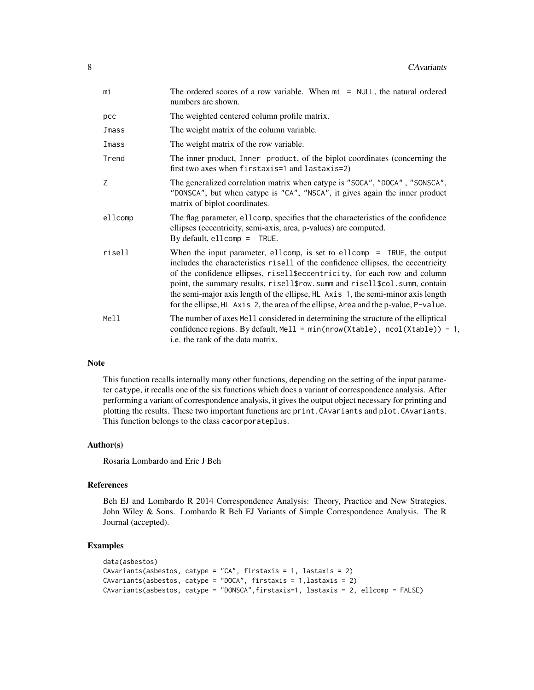| mi      | The ordered scores of a row variable. When $m_i$ = NULL, the natural ordered<br>numbers are shown.                                                                                                                                                                                                                                                                                                                                                                                                  |
|---------|-----------------------------------------------------------------------------------------------------------------------------------------------------------------------------------------------------------------------------------------------------------------------------------------------------------------------------------------------------------------------------------------------------------------------------------------------------------------------------------------------------|
| pcc     | The weighted centered column profile matrix.                                                                                                                                                                                                                                                                                                                                                                                                                                                        |
| Jmass   | The weight matrix of the column variable.                                                                                                                                                                                                                                                                                                                                                                                                                                                           |
| Imass   | The weight matrix of the row variable.                                                                                                                                                                                                                                                                                                                                                                                                                                                              |
| Trend   | The inner product, Inner product, of the biplot coordinates (concerning the<br>first two axes when firstaxis=1 and lastaxis=2)                                                                                                                                                                                                                                                                                                                                                                      |
| Z       | The generalized correlation matrix when catype is "SOCA", "DOCA", "SONSCA",<br>"DONSCA", but when catype is "CA", "NSCA", it gives again the inner product<br>matrix of biplot coordinates.                                                                                                                                                                                                                                                                                                         |
| ellcomp | The flag parameter, ellcomp, specifies that the characteristics of the confidence<br>ellipses (eccentricity, semi-axis, area, p-values) are computed.<br>By default, ellcomp $=$ TRUE.                                                                                                                                                                                                                                                                                                              |
| risell  | When the input parameter, ellcomp, is set to ellcomp $=$ TRUE, the output<br>includes the characteristics risell of the confidence ellipses, the eccentricity<br>of the confidence ellipses, risell\$eccentricity, for each row and column<br>point, the summary results, risell\$row.summ and risell\$col.summ, contain<br>the semi-major axis length of the ellipse, HL Axis 1, the semi-minor axis length<br>for the ellipse, HL Axis 2, the area of the ellipse, Area and the p-value, P-value. |
| Mell    | The number of axes Mell considered in determining the structure of the elliptical<br>confidence regions. By default, Mell = min(nrow(Xtable), ncol(Xtable)) - 1,<br>i.e. the rank of the data matrix.                                                                                                                                                                                                                                                                                               |
|         |                                                                                                                                                                                                                                                                                                                                                                                                                                                                                                     |

#### Note

This function recalls internally many other functions, depending on the setting of the input parameter catype, it recalls one of the six functions which does a variant of correspondence analysis. After performing a variant of correspondence analysis, it gives the output object necessary for printing and plotting the results. These two important functions are print.CAvariants and plot.CAvariants. This function belongs to the class cacorporateplus.

# Author(s)

Rosaria Lombardo and Eric J Beh

# References

Beh EJ and Lombardo R 2014 Correspondence Analysis: Theory, Practice and New Strategies. John Wiley & Sons. Lombardo R Beh EJ Variants of Simple Correspondence Analysis. The R Journal (accepted).

```
data(asbestos)
CAvariants(asbestos, catype = "CA", firstaxis = 1, lastaxis = 2)
CAvariants(asbestos, catype = "DOCA", firstaxis = 1,lastaxis = 2)
CAvariants(asbestos, catype = "DONSCA",firstaxis=1, lastaxis = 2, ellcomp = FALSE)
```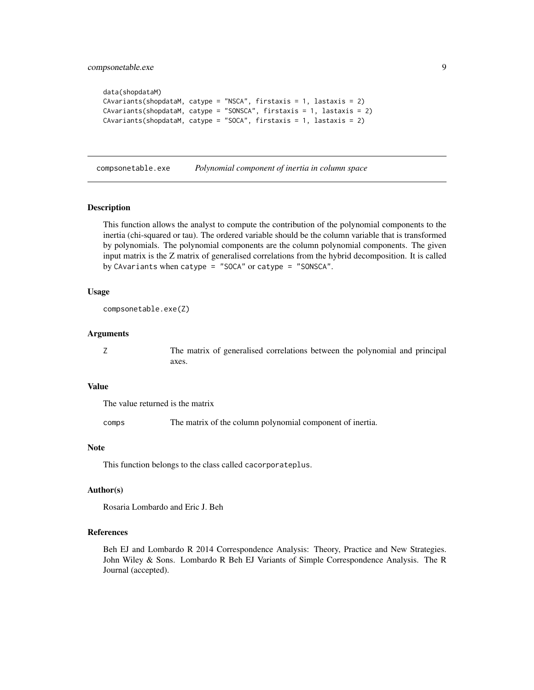```
data(shopdataM)
CAvariants(shopdataM, catype = "NSCA", firstaxis = 1, lastaxis = 2)
CAvariants(shopdataM, catype = "SONSCA", firstaxis = 1, lastaxis = 2)
CAvariants(shopdataM, catype = "SOCA", firstaxis = 1, lastaxis = 2)
```
compsonetable.exe *Polynomial component of inertia in column space*

#### Description

This function allows the analyst to compute the contribution of the polynomial components to the inertia (chi-squared or tau). The ordered variable should be the column variable that is transformed by polynomials. The polynomial components are the column polynomial components. The given input matrix is the Z matrix of generalised correlations from the hybrid decomposition. It is called by CAvariants when catype = "SOCA" or catype = "SONSCA".

#### Usage

```
compsonetable.exe(Z)
```
#### Arguments

Z The matrix of generalised correlations between the polynomial and principal axes.

#### Value

The value returned is the matrix

comps The matrix of the column polynomial component of inertia.

#### Note

This function belongs to the class called cacorporateplus.

#### Author(s)

Rosaria Lombardo and Eric J. Beh

# References

Beh EJ and Lombardo R 2014 Correspondence Analysis: Theory, Practice and New Strategies. John Wiley & Sons. Lombardo R Beh EJ Variants of Simple Correspondence Analysis. The R Journal (accepted).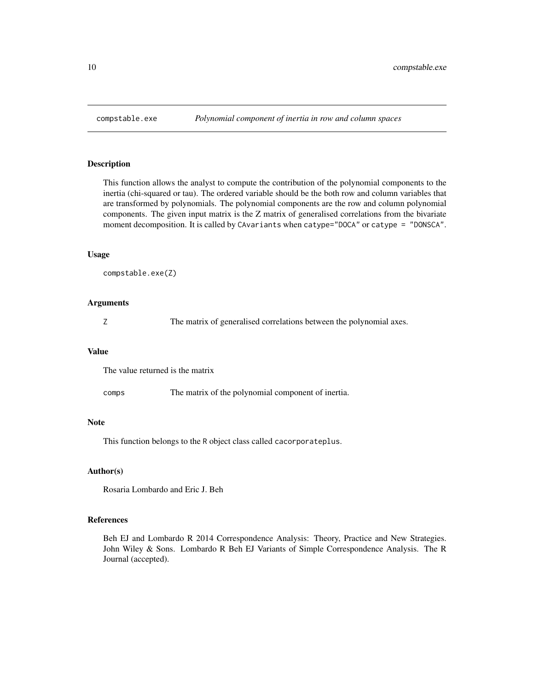<span id="page-9-0"></span>

This function allows the analyst to compute the contribution of the polynomial components to the inertia (chi-squared or tau). The ordered variable should be the both row and column variables that are transformed by polynomials. The polynomial components are the row and column polynomial components. The given input matrix is the Z matrix of generalised correlations from the bivariate moment decomposition. It is called by CAvariants when catype="DOCA" or catype = "DONSCA".

#### Usage

```
compstable.exe(Z)
```
#### Arguments

Z The matrix of generalised correlations between the polynomial axes.

#### Value

The value returned is the matrix

comps The matrix of the polynomial component of inertia.

#### Note

This function belongs to the R object class called cacorporateplus.

#### Author(s)

Rosaria Lombardo and Eric J. Beh

#### References

Beh EJ and Lombardo R 2014 Correspondence Analysis: Theory, Practice and New Strategies. John Wiley & Sons. Lombardo R Beh EJ Variants of Simple Correspondence Analysis. The R Journal (accepted).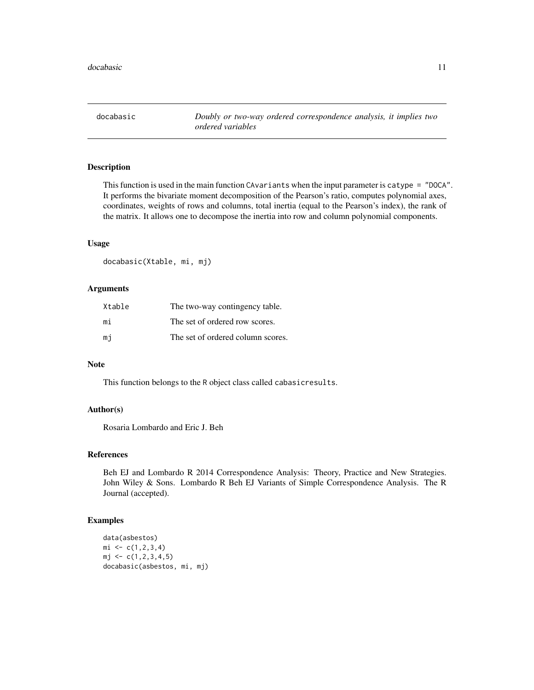<span id="page-10-0"></span>docabasic *Doubly or two-way ordered correspondence analysis, it implies two ordered variables*

# Description

This function is used in the main function CAvariants when the input parameter is catype = "DOCA". It performs the bivariate moment decomposition of the Pearson's ratio, computes polynomial axes, coordinates, weights of rows and columns, total inertia (equal to the Pearson's index), the rank of the matrix. It allows one to decompose the inertia into row and column polynomial components.

# Usage

docabasic(Xtable, mi, mj)

#### Arguments

| Xtable | The two-way contingency table.    |
|--------|-----------------------------------|
| mi     | The set of ordered row scores.    |
| mi     | The set of ordered column scores. |

# Note

This function belongs to the R object class called cabasicresults.

#### Author(s)

Rosaria Lombardo and Eric J. Beh

#### References

Beh EJ and Lombardo R 2014 Correspondence Analysis: Theory, Practice and New Strategies. John Wiley & Sons. Lombardo R Beh EJ Variants of Simple Correspondence Analysis. The R Journal (accepted).

```
data(asbestos)
mi \leftarrow c(1, 2, 3, 4)mj \leq c(1, 2, 3, 4, 5)docabasic(asbestos, mi, mj)
```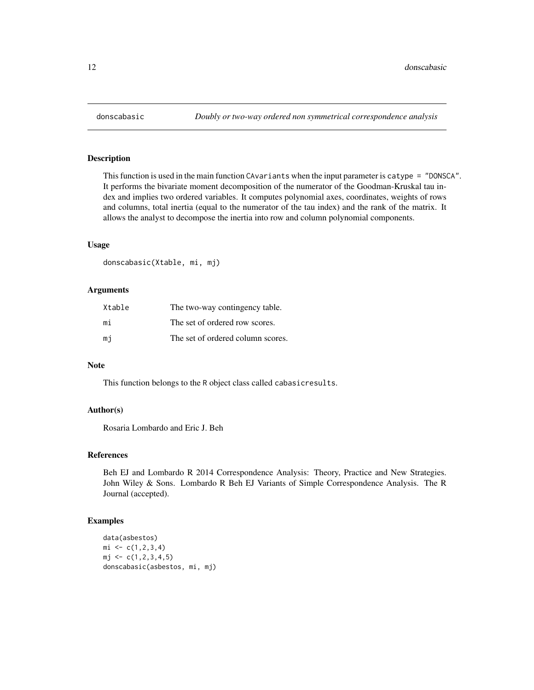This function is used in the main function CAvariants when the input parameter is catype = "DONSCA". It performs the bivariate moment decomposition of the numerator of the Goodman-Kruskal tau index and implies two ordered variables. It computes polynomial axes, coordinates, weights of rows and columns, total inertia (equal to the numerator of the tau index) and the rank of the matrix. It allows the analyst to decompose the inertia into row and column polynomial components.

#### Usage

donscabasic(Xtable, mi, mj)

#### Arguments

| Xtable | The two-way contingency table.    |
|--------|-----------------------------------|
| mi     | The set of ordered row scores.    |
| mi     | The set of ordered column scores. |

#### Note

This function belongs to the R object class called cabasicresults.

#### Author(s)

Rosaria Lombardo and Eric J. Beh

#### References

Beh EJ and Lombardo R 2014 Correspondence Analysis: Theory, Practice and New Strategies. John Wiley & Sons. Lombardo R Beh EJ Variants of Simple Correspondence Analysis. The R Journal (accepted).

```
data(asbestos)
mi \leq c(1, 2, 3, 4)mj \leftarrow c(1, 2, 3, 4, 5)donscabasic(asbestos, mi, mj)
```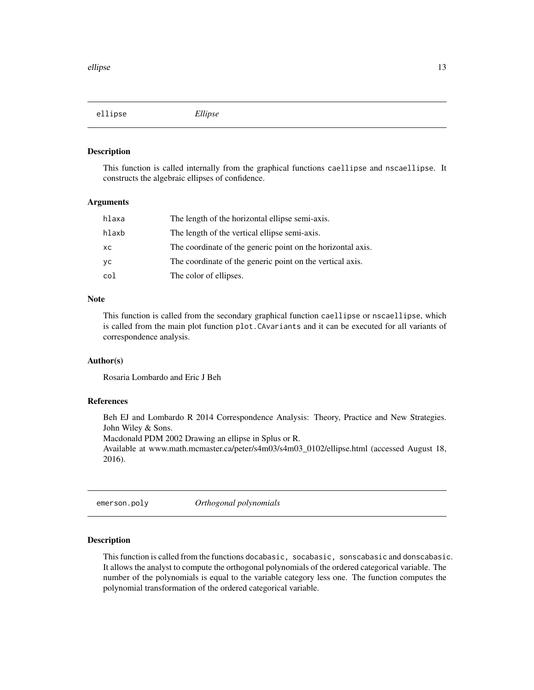<span id="page-12-0"></span>ellipse *Ellipse*

#### Description

This function is called internally from the graphical functions caellipse and nscaellipse. It constructs the algebraic ellipses of confidence.

#### Arguments

| hlaxa | The length of the horizontal ellipse semi-axis.             |
|-------|-------------------------------------------------------------|
| hlaxb | The length of the vertical ellipse semi-axis.               |
| хc    | The coordinate of the generic point on the horizontal axis. |
| уc    | The coordinate of the generic point on the vertical axis.   |
| col   | The color of ellipses.                                      |

#### **Note**

This function is called from the secondary graphical function caellipse or nscaellipse, which is called from the main plot function plot.CAvariants and it can be executed for all variants of correspondence analysis.

#### Author(s)

Rosaria Lombardo and Eric J Beh

#### References

Beh EJ and Lombardo R 2014 Correspondence Analysis: Theory, Practice and New Strategies. John Wiley & Sons.

Macdonald PDM 2002 Drawing an ellipse in Splus or R.

Available at www.math.mcmaster.ca/peter/s4m03/s4m03\_0102/ellipse.html (accessed August 18, 2016).

emerson.poly *Orthogonal polynomials*

#### Description

This function is called from the functions docabasic, socabasic, sonscabasic and donscabasic. It allows the analyst to compute the orthogonal polynomials of the ordered categorical variable. The number of the polynomials is equal to the variable category less one. The function computes the polynomial transformation of the ordered categorical variable.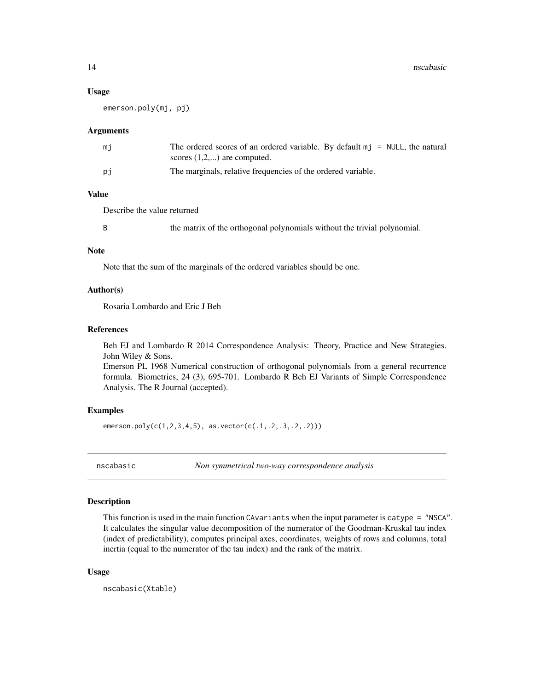#### <span id="page-13-0"></span>Usage

emerson.poly(mj, pj)

#### Arguments

| mi | The ordered scores of an ordered variable. By default $m\eta$ = NULL, the natural<br>scores $(1,2,)$ are computed. |
|----|--------------------------------------------------------------------------------------------------------------------|
| рi | The marginals, relative frequencies of the ordered variable.                                                       |

# Value

Describe the value returned

B the matrix of the orthogonal polynomials without the trivial polynomial.

#### Note

Note that the sum of the marginals of the ordered variables should be one.

#### Author(s)

Rosaria Lombardo and Eric J Beh

#### References

Beh EJ and Lombardo R 2014 Correspondence Analysis: Theory, Practice and New Strategies. John Wiley & Sons.

Emerson PL 1968 Numerical construction of orthogonal polynomials from a general recurrence formula. Biometrics, 24 (3), 695-701. Lombardo R Beh EJ Variants of Simple Correspondence Analysis. The R Journal (accepted).

#### Examples

emerson.poly(c(1,2,3,4,5), as.vector(c(.1,.2,.3,.2,.2)))

nscabasic *Non symmetrical two-way correspondence analysis*

# Description

This function is used in the main function CAvariants when the input parameter is catype = "NSCA". It calculates the singular value decomposition of the numerator of the Goodman-Kruskal tau index (index of predictability), computes principal axes, coordinates, weights of rows and columns, total inertia (equal to the numerator of the tau index) and the rank of the matrix.

#### Usage

nscabasic(Xtable)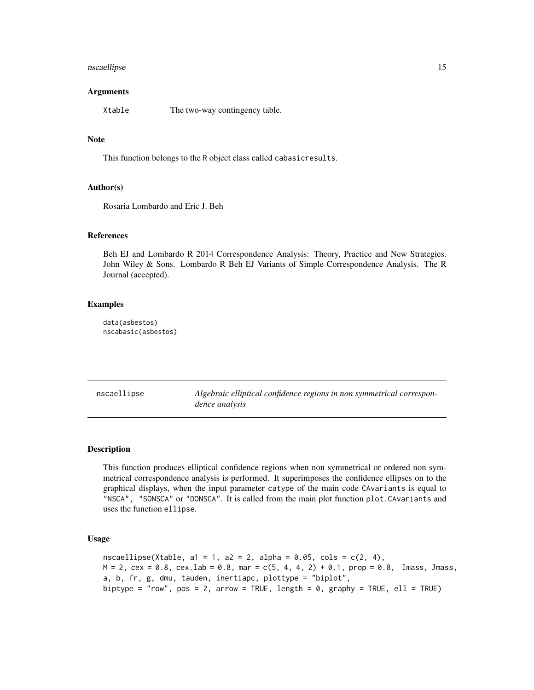#### <span id="page-14-0"></span>nscaellipse to the control of the control of the control of the control of the control of the control of the control of the control of the control of the control of the control of the control of the control of the control

#### Arguments

Xtable The two-way contingency table.

#### Note

This function belongs to the R object class called cabasicresults.

#### Author(s)

Rosaria Lombardo and Eric J. Beh

# References

Beh EJ and Lombardo R 2014 Correspondence Analysis: Theory, Practice and New Strategies. John Wiley & Sons. Lombardo R Beh EJ Variants of Simple Correspondence Analysis. The R Journal (accepted).

#### Examples

data(asbestos) nscabasic(asbestos)

nscaellipse *Algebraic elliptical confidence regions in non symmetrical correspondence analysis*

#### Description

This function produces elliptical confidence regions when non symmetrical or ordered non symmetrical correspondence analysis is performed. It superimposes the confidence ellipses on to the graphical displays, when the input parameter catype of the main code CAvariants is equal to "NSCA", "SONSCA" or "DONSCA". It is called from the main plot function plot.CAvariants and uses the function ellipse.

#### Usage

```
nscaellipse(Xtable, a1 = 1, a2 = 2, alpha = 0.05, cols = c(2, 4),
M = 2, cex = 0.8, cex.lab = 0.8, mar = c(5, 4, 4, 2) + 0.1, prop = 0.8, Imass, Jmass,
a, b, fr, g, dmu, tauden, inertiapc, plottype = "biplot",
biptype = "row", pos = 2, arrow = TRUE, length = \theta, graphy = TRUE, ell = TRUE)
```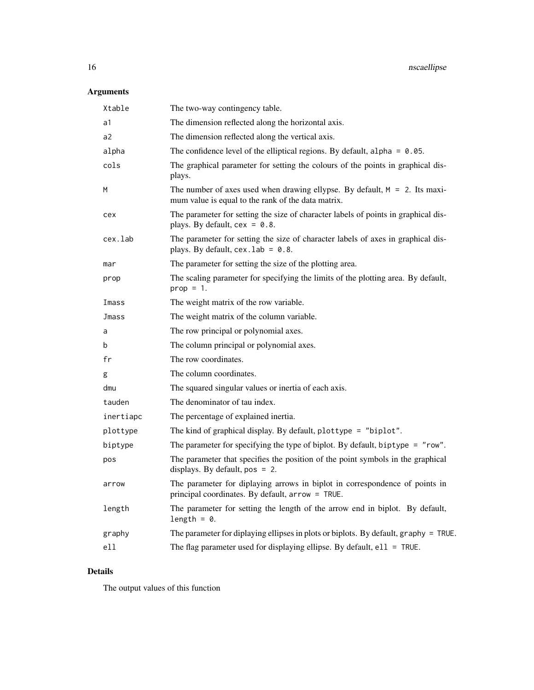# Arguments

| Xtable    | The two-way contingency table.                                                                                                      |  |
|-----------|-------------------------------------------------------------------------------------------------------------------------------------|--|
| a1        | The dimension reflected along the horizontal axis.                                                                                  |  |
| a2        | The dimension reflected along the vertical axis.                                                                                    |  |
| alpha     | The confidence level of the elliptical regions. By default, alpha = $0.05$ .                                                        |  |
| cols      | The graphical parameter for setting the colours of the points in graphical dis-<br>plays.                                           |  |
| M         | The number of axes used when drawing ellypse. By default, $M = 2$ . Its maxi-<br>mum value is equal to the rank of the data matrix. |  |
| cex       | The parameter for setting the size of character labels of points in graphical dis-<br>plays. By default, $cex = 0.8$ .              |  |
| cex.lab   | The parameter for setting the size of character labels of axes in graphical dis-<br>plays. By default, $cex.$ lab = 0.8.            |  |
| mar       | The parameter for setting the size of the plotting area.                                                                            |  |
| prop      | The scaling parameter for specifying the limits of the plotting area. By default,<br>$prop = 1$ .                                   |  |
| Imass     | The weight matrix of the row variable.                                                                                              |  |
| Jmass     | The weight matrix of the column variable.                                                                                           |  |
| a         | The row principal or polynomial axes.                                                                                               |  |
| b         | The column principal or polynomial axes.                                                                                            |  |
| fr        | The row coordinates.                                                                                                                |  |
| g         | The column coordinates.                                                                                                             |  |
| dmu       | The squared singular values or inertia of each axis.                                                                                |  |
| tauden    | The denominator of tau index.                                                                                                       |  |
| inertiapc | The percentage of explained inertia.                                                                                                |  |
| plottype  | The kind of graphical display. By default, plottype = "biplot".                                                                     |  |
| biptype   | The parameter for specifying the type of biplot. By default, biptype = "row".                                                       |  |
| pos       | The parameter that specifies the position of the point symbols in the graphical<br>displays. By default, $pos = 2$ .                |  |
| arrow     | The parameter for diplaying arrows in biplot in correspondence of points in<br>principal coordinates. By default, arrow = TRUE.     |  |
| length    | The parameter for setting the length of the arrow end in biplot. By default,<br>length = $0$ .                                      |  |
| graphy    | The parameter for diplaying ellipses in plots or biplots. By default, graphy = TRUE.                                                |  |
| ell       | The flag parameter used for displaying ellipse. By default, $e11 = TRUE$ .                                                          |  |

# Details

The output values of this function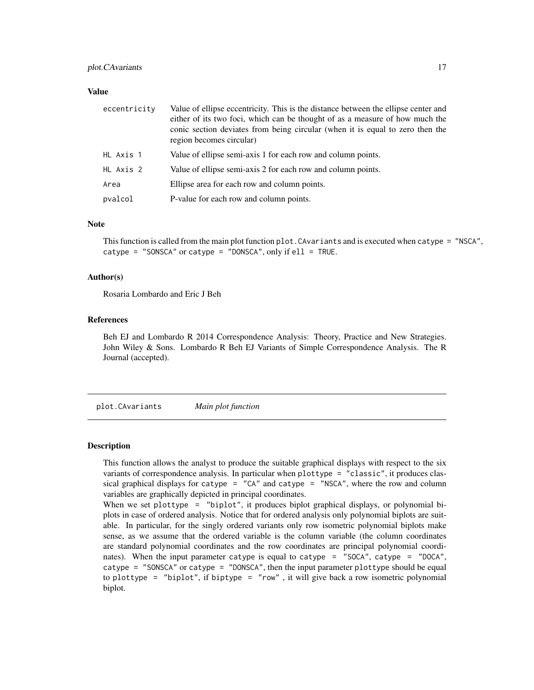#### <span id="page-16-0"></span>plot. CAvariants 17

#### Value

| eccentricity | Value of ellipse eccentricity. This is the distance between the ellipse center and<br>either of its two foci, which can be thought of as a measure of how much the<br>conic section deviates from being circular (when it is equal to zero then the<br>region becomes circular) |  |
|--------------|---------------------------------------------------------------------------------------------------------------------------------------------------------------------------------------------------------------------------------------------------------------------------------|--|
| HL Axis 1    | Value of ellipse semi-axis 1 for each row and column points.                                                                                                                                                                                                                    |  |
| HL Axis 2    | Value of ellipse semi-axis 2 for each row and column points.                                                                                                                                                                                                                    |  |
| Area         | Ellipse area for each row and column points.                                                                                                                                                                                                                                    |  |
| pvalcol      | P-value for each row and column points.                                                                                                                                                                                                                                         |  |

#### Note

This function is called from the main plot function plot.CAvariants and is executed when catype = "NSCA", catype = "SONSCA" or catype = "DONSCA", only if  $ell = TRUE$ .

#### Author(s)

Rosaria Lombardo and Eric J Beh

#### References

Beh EJ and Lombardo R 2014 Correspondence Analysis: Theory, Practice and New Strategies. John Wiley & Sons. Lombardo R Beh EJ Variants of Simple Correspondence Analysis. The R Journal (accepted).

plot.CAvariants *Main plot function*

#### Description

This function allows the analyst to produce the suitable graphical displays with respect to the six variants of correspondence analysis. In particular when plottype = "classic", it produces classical graphical displays for catype =  $"CA"$  and catype =  $"NSCA"$ , where the row and column variables are graphically depicted in principal coordinates.

When we set plottype = "biplot", it produces biplot graphical displays, or polynomial biplots in case of ordered analysis. Notice that for ordered analysis only polynomial biplots are suitable. In particular, for the singly ordered variants only row isometric polynomial biplots make sense, as we assume that the ordered variable is the column variable (the column coordinates are standard polynomial coordinates and the row coordinates are principal polynomial coordinates). When the input parameter catype is equal to catype = "SOCA", catype = "DOCA", catype = "SONSCA" or catype = "DONSCA", then the input parameter plottype should be equal to plottype = "biplot", if biptype = "row", it will give back a row isometric polynomial biplot.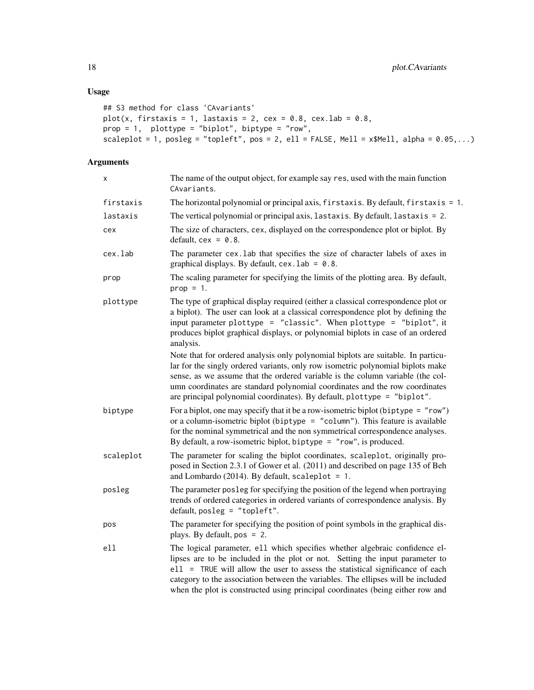```
## S3 method for class 'CAvariants'
plot(x, firstaxis = 1, lastaxis = 2, cex = 0.8, cex.lab = 0.8,
prop = 1, plottype = "biplot", biptype = "row",
scaleplot = 1, posleg = "topleft", pos = 2, ell = FALSE, Mell = x$Mell, alpha = 0.05,...)
```
# Arguments

| Χ         | The name of the output object, for example say res, used with the main function<br>CAvariants.                                                                                                                                                                                                                                                                                                                     |  |
|-----------|--------------------------------------------------------------------------------------------------------------------------------------------------------------------------------------------------------------------------------------------------------------------------------------------------------------------------------------------------------------------------------------------------------------------|--|
| firstaxis | The horizontal polynomial or principal axis, firstaxis. By default, firstaxis = 1.                                                                                                                                                                                                                                                                                                                                 |  |
| lastaxis  | The vertical polynomial or principal axis, lastaxis. By default, lastaxis = 2.                                                                                                                                                                                                                                                                                                                                     |  |
| cex       | The size of characters, cex, displayed on the correspondence plot or biplot. By<br>default, $cex = 0.8$ .                                                                                                                                                                                                                                                                                                          |  |
| cex.lab   | The parameter cex. Lab that specifies the size of character labels of axes in<br>graphical displays. By default, $cex.$ lab = $0.8$ .                                                                                                                                                                                                                                                                              |  |
| prop      | The scaling parameter for specifying the limits of the plotting area. By default,<br>$prop = 1$ .                                                                                                                                                                                                                                                                                                                  |  |
| plottype  | The type of graphical display required (either a classical correspondence plot or<br>a biplot). The user can look at a classical correspondence plot by defining the<br>input parameter plottype = "classic". When plottype = "biplot", it<br>produces biplot graphical displays, or polynomial biplots in case of an ordered<br>analysis.                                                                         |  |
|           | Note that for ordered analysis only polynomial biplots are suitable. In particu-<br>lar for the singly ordered variants, only row isometric polynomial biplots make<br>sense, as we assume that the ordered variable is the column variable (the col-<br>umn coordinates are standard polynomial coordinates and the row coordinates<br>are principal polynomial coordinates). By default, plottype = "biplot".    |  |
| biptype   | For a biplot, one may specify that it be a row-isometric biplot (biptype = $"row"$ )<br>or a column-isometric biplot (biptype = $"column"$ ). This feature is available<br>for the nominal symmetrical and the non symmetrical correspondence analyses.<br>By default, a row-isometric biplot, biptype = $"row",$ is produced.                                                                                     |  |
| scaleplot | The parameter for scaling the biplot coordinates, scaleplot, originally pro-<br>posed in Section 2.3.1 of Gower et al. (2011) and described on page 135 of Beh<br>and Lombardo (2014). By default, scaleplot = $1$ .                                                                                                                                                                                               |  |
| posleg    | The parameter posleg for specifying the position of the legend when portraying<br>trends of ordered categories in ordered variants of correspondence analysis. By<br>default, posleg = "topleft".                                                                                                                                                                                                                  |  |
| pos       | The parameter for specifying the position of point symbols in the graphical dis-<br>plays. By default, $pos = 2$ .                                                                                                                                                                                                                                                                                                 |  |
| ell       | The logical parameter, e11 which specifies whether algebraic confidence el-<br>lipses are to be included in the plot or not. Setting the input parameter to<br>ell = TRUE will allow the user to assess the statistical significance of each<br>category to the association between the variables. The ellipses will be included<br>when the plot is constructed using principal coordinates (being either row and |  |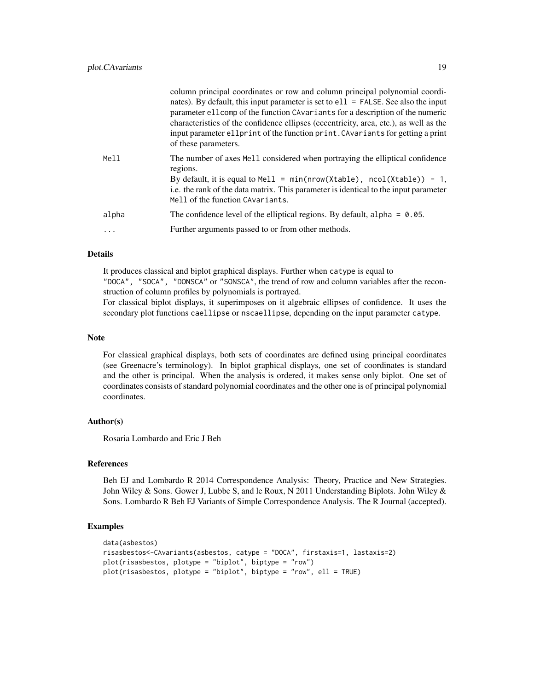| of these parameters. |       | column principal coordinates or row and column principal polynomial coordi-<br>nates). By default, this input parameter is set to $ell1 = FALSE$ . See also the input<br>parameter ellomp of the function CAvariants for a description of the numeric<br>characteristics of the confidence ellipses (eccentricity, area, etc.), as well as the<br>input parameter ellprint of the function print. CAvariants for getting a print |
|----------------------|-------|----------------------------------------------------------------------------------------------------------------------------------------------------------------------------------------------------------------------------------------------------------------------------------------------------------------------------------------------------------------------------------------------------------------------------------|
|                      | Mell  | The number of axes Mell considered when portraying the elliptical confidence<br>regions.<br>By default, it is equal to Mell = $min(nrow(Xtable))$ , $ncol(Xtable)) - 1$ ,<br>i.e. the rank of the data matrix. This parameter is identical to the input parameter<br>Mell of the function CAvariants.                                                                                                                            |
|                      | alpha | The confidence level of the elliptical regions. By default, alpha = $0.05$ .                                                                                                                                                                                                                                                                                                                                                     |
|                      | .     | Further arguments passed to or from other methods.                                                                                                                                                                                                                                                                                                                                                                               |

# Details

It produces classical and biplot graphical displays. Further when catype is equal to "DOCA", "SOCA", "DONSCA" or "SONSCA", the trend of row and column variables after the reconstruction of column profiles by polynomials is portrayed.

For classical biplot displays, it superimposes on it algebraic ellipses of confidence. It uses the secondary plot functions caellipse or nscaellipse, depending on the input parameter catype.

#### Note

For classical graphical displays, both sets of coordinates are defined using principal coordinates (see Greenacre's terminology). In biplot graphical displays, one set of coordinates is standard and the other is principal. When the analysis is ordered, it makes sense only biplot. One set of coordinates consists of standard polynomial coordinates and the other one is of principal polynomial coordinates.

# Author(s)

Rosaria Lombardo and Eric J Beh

#### References

Beh EJ and Lombardo R 2014 Correspondence Analysis: Theory, Practice and New Strategies. John Wiley & Sons. Gower J, Lubbe S, and le Roux, N 2011 Understanding Biplots. John Wiley & Sons. Lombardo R Beh EJ Variants of Simple Correspondence Analysis. The R Journal (accepted).

```
data(asbestos)
risasbestos<-CAvariants(asbestos, catype = "DOCA", firstaxis=1, lastaxis=2)
plot(risasbestos, plotype = "biplot", biptype = "row")
plot(risasbestos, plotype = "biplot", biptype = "row", ell = TRUE)
```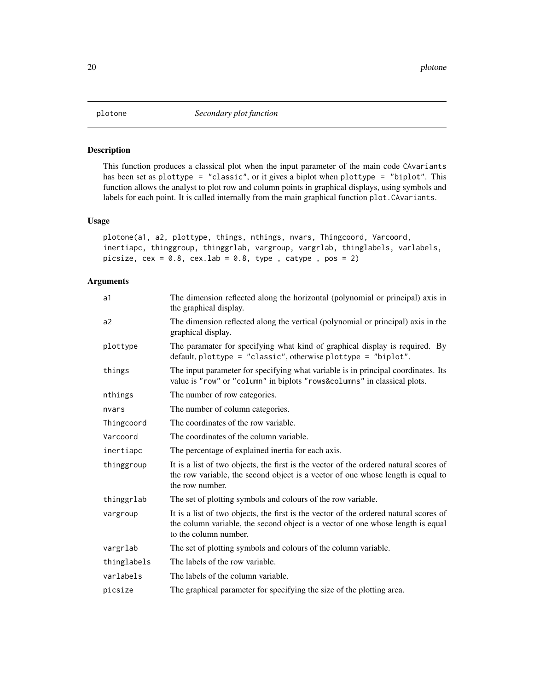<span id="page-19-0"></span>

This function produces a classical plot when the input parameter of the main code CAvariants has been set as plottype = "classic", or it gives a biplot when plottype = "biplot". This function allows the analyst to plot row and column points in graphical displays, using symbols and labels for each point. It is called internally from the main graphical function plot. CAvariants.

### Usage

```
plotone(a1, a2, plottype, things, nthings, nvars, Thingcoord, Varcoord,
inertiapc, thinggroup, thinggrlab, vargroup, vargrlab, thinglabels, varlabels,
picsize, cex = 0.8, cex.1ab = 0.8, type, catspe, pos = 2)
```
# Arguments

| a1          | The dimension reflected along the horizontal (polynomial or principal) axis in<br>the graphical display.                                                                                          |  |
|-------------|---------------------------------------------------------------------------------------------------------------------------------------------------------------------------------------------------|--|
| a2          | The dimension reflected along the vertical (polynomial or principal) axis in the<br>graphical display.                                                                                            |  |
| plottype    | The paramater for specifying what kind of graphical display is required. By<br>default, plottype = "classic", otherwise plottype = "biplot".                                                      |  |
| things      | The input parameter for specifying what variable is in principal coordinates. Its<br>value is "row" or "column" in biplots "rows&columns" in classical plots.                                     |  |
| nthings     | The number of row categories.                                                                                                                                                                     |  |
| nvars       | The number of column categories.                                                                                                                                                                  |  |
| Thingcoord  | The coordinates of the row variable.                                                                                                                                                              |  |
| Varcoord    | The coordinates of the column variable.                                                                                                                                                           |  |
| inertiapc   | The percentage of explained inertia for each axis.                                                                                                                                                |  |
| thinggroup  | It is a list of two objects, the first is the vector of the ordered natural scores of<br>the row variable, the second object is a vector of one whose length is equal to<br>the row number.       |  |
| thinggrlab  | The set of plotting symbols and colours of the row variable.                                                                                                                                      |  |
| vargroup    | It is a list of two objects, the first is the vector of the ordered natural scores of<br>the column variable, the second object is a vector of one whose length is equal<br>to the column number. |  |
| vargrlab    | The set of plotting symbols and colours of the column variable.                                                                                                                                   |  |
| thinglabels | The labels of the row variable.                                                                                                                                                                   |  |
| varlabels   | The labels of the column variable.                                                                                                                                                                |  |
| picsize     | The graphical parameter for specifying the size of the plotting area.                                                                                                                             |  |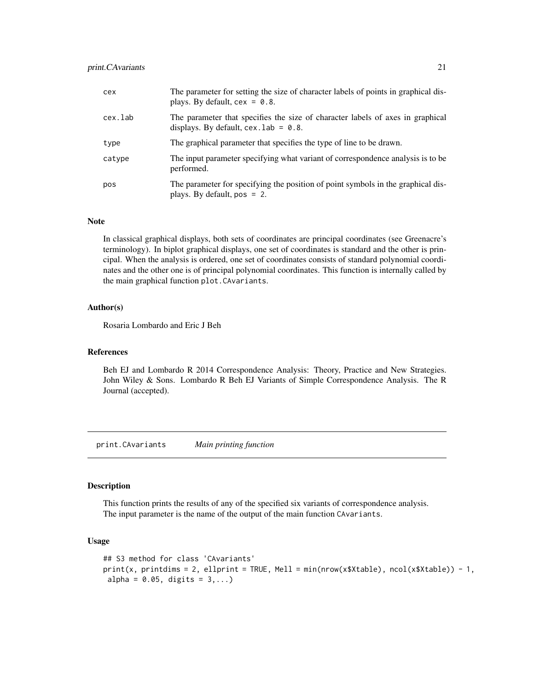#### <span id="page-20-0"></span>print.CAvariants 21

| cex     | The parameter for setting the size of character labels of points in graphical dis-<br>plays. By default, $cex = 0.8$ .    |  |
|---------|---------------------------------------------------------------------------------------------------------------------------|--|
| cex.lab | The parameter that specifies the size of character labels of axes in graphical<br>displays. By default, $cex.$ lab = 0.8. |  |
| type    | The graphical parameter that specifies the type of line to be drawn.                                                      |  |
| catype  | The input parameter specifying what variant of correspondence analysis is to be<br>performed.                             |  |
| pos     | The parameter for specifying the position of point symbols in the graphical dis-<br>plays. By default, $pos = 2$ .        |  |

# Note

In classical graphical displays, both sets of coordinates are principal coordinates (see Greenacre's terminology). In biplot graphical displays, one set of coordinates is standard and the other is principal. When the analysis is ordered, one set of coordinates consists of standard polynomial coordinates and the other one is of principal polynomial coordinates. This function is internally called by the main graphical function plot.CAvariants.

#### Author(s)

Rosaria Lombardo and Eric J Beh

#### References

Beh EJ and Lombardo R 2014 Correspondence Analysis: Theory, Practice and New Strategies. John Wiley & Sons. Lombardo R Beh EJ Variants of Simple Correspondence Analysis. The R Journal (accepted).

print.CAvariants *Main printing function*

#### Description

This function prints the results of any of the specified six variants of correspondence analysis. The input parameter is the name of the output of the main function CAvariants.

#### Usage

```
## S3 method for class 'CAvariants'
print(x, printdims = 2, ellprint = TRUE, Mell = min(nrow(x$Xtable), ncol(x$Xtable)) - 1,
alpha = 0.05, digits = 3,...)
```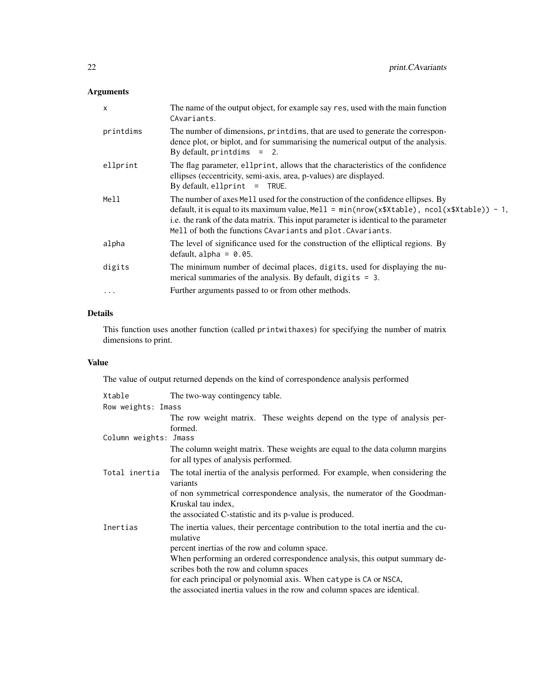# Arguments

| X         | The name of the output object, for example say res, used with the main function<br>CAvariants.                                                                                                                                                                                                                                           |
|-----------|------------------------------------------------------------------------------------------------------------------------------------------------------------------------------------------------------------------------------------------------------------------------------------------------------------------------------------------|
| printdims | The number of dimensions, printdims, that are used to generate the correspon-<br>dence plot, or biplot, and for summarising the numerical output of the analysis.<br>By default, printdims $= 2$ .                                                                                                                                       |
| ellprint  | The flag parameter, ellprint, allows that the characteristics of the confidence<br>ellipses (eccentricity, semi-axis, area, p-values) are displayed.<br>By default, ellprint $=$ TRUE.                                                                                                                                                   |
| Mell      | The number of axes Mell used for the construction of the confidence ellipses. By<br>default, it is equal to its maximum value, Mell = $min(nrow(x$Xtable), ncol(x$Xtable)) - 1$ ,<br>i.e. the rank of the data matrix. This input parameter is identical to the parameter<br>Mell of both the functions CAvariants and plot. CAvariants. |
| alpha     | The level of significance used for the construction of the elliptical regions. By<br>default, alpha = $0.05$ .                                                                                                                                                                                                                           |
| digits    | The minimum number of decimal places, digits, used for displaying the nu-<br>merical summaries of the analysis. By default, digits $= 3$ .                                                                                                                                                                                               |
| $\cdots$  | Further arguments passed to or from other methods.                                                                                                                                                                                                                                                                                       |

# Details

This function uses another function (called printwithaxes) for specifying the number of matrix dimensions to print.

# Value

The value of output returned depends on the kind of correspondence analysis performed

| Xtable                                                                    | The two-way contingency table.                                                                                        |  |  |
|---------------------------------------------------------------------------|-----------------------------------------------------------------------------------------------------------------------|--|--|
| Row weights: Imass                                                        |                                                                                                                       |  |  |
|                                                                           | The row weight matrix. These weights depend on the type of analysis per-<br>formed.                                   |  |  |
| Column weights: Jmass                                                     |                                                                                                                       |  |  |
|                                                                           | The column weight matrix. These weights are equal to the data column margins<br>for all types of analysis performed.  |  |  |
| Total inertia                                                             | The total inertia of the analysis performed. For example, when considering the<br>variants                            |  |  |
|                                                                           | of non symmetrical correspondence analysis, the numerator of the Goodman-<br>Kruskal tau index,                       |  |  |
|                                                                           | the associated C-statistic and its p-value is produced.                                                               |  |  |
| Inertias                                                                  | The inertia values, their percentage contribution to the total inertia and the cu-<br>mulative                        |  |  |
|                                                                           | percent inertias of the row and column space.                                                                         |  |  |
|                                                                           | When performing an ordered correspondence analysis, this output summary de-<br>scribes both the row and column spaces |  |  |
|                                                                           | for each principal or polynomial axis. When catype is CA or NSCA,                                                     |  |  |
| the associated inertia values in the row and column spaces are identical. |                                                                                                                       |  |  |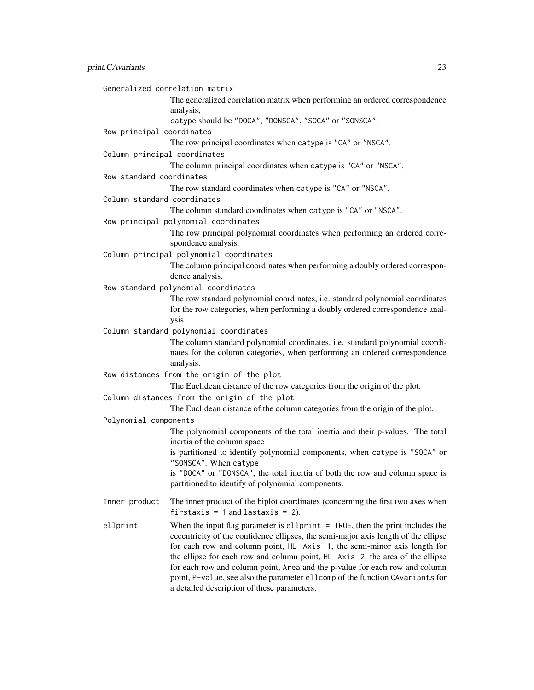|                              | Generalized correlation matrix<br>The generalized correlation matrix when performing an ordered correspondence<br>analysis,                                                                                                                                                                                                                                                                                                                                                                                                                       |
|------------------------------|---------------------------------------------------------------------------------------------------------------------------------------------------------------------------------------------------------------------------------------------------------------------------------------------------------------------------------------------------------------------------------------------------------------------------------------------------------------------------------------------------------------------------------------------------|
|                              | catype should be "DOCA", "DONSCA", "SOCA" or "SONSCA".                                                                                                                                                                                                                                                                                                                                                                                                                                                                                            |
| Row principal coordinates    | The row principal coordinates when catype is "CA" or "NSCA".                                                                                                                                                                                                                                                                                                                                                                                                                                                                                      |
| Column principal coordinates |                                                                                                                                                                                                                                                                                                                                                                                                                                                                                                                                                   |
|                              | The column principal coordinates when catype is "CA" or "NSCA".                                                                                                                                                                                                                                                                                                                                                                                                                                                                                   |
| Row standard coordinates     |                                                                                                                                                                                                                                                                                                                                                                                                                                                                                                                                                   |
|                              | The row standard coordinates when catype is "CA" or "NSCA".                                                                                                                                                                                                                                                                                                                                                                                                                                                                                       |
| Column standard coordinates  |                                                                                                                                                                                                                                                                                                                                                                                                                                                                                                                                                   |
|                              | The column standard coordinates when catype is "CA" or "NSCA".                                                                                                                                                                                                                                                                                                                                                                                                                                                                                    |
|                              | Row principal polynomial coordinates<br>The row principal polynomial coordinates when performing an ordered corre-<br>spondence analysis.                                                                                                                                                                                                                                                                                                                                                                                                         |
|                              | Column principal polynomial coordinates                                                                                                                                                                                                                                                                                                                                                                                                                                                                                                           |
|                              | The column principal coordinates when performing a doubly ordered correspon-<br>dence analysis.                                                                                                                                                                                                                                                                                                                                                                                                                                                   |
|                              | Row standard polynomial coordinates                                                                                                                                                                                                                                                                                                                                                                                                                                                                                                               |
|                              | The row standard polynomial coordinates, i.e. standard polynomial coordinates<br>for the row categories, when performing a doubly ordered correspondence anal-<br>ysis.                                                                                                                                                                                                                                                                                                                                                                           |
|                              | Column standard polynomial coordinates                                                                                                                                                                                                                                                                                                                                                                                                                                                                                                            |
|                              | The column standard polynomial coordinates, i.e. standard polynomial coordi-<br>nates for the column categories, when performing an ordered correspondence<br>analysis.                                                                                                                                                                                                                                                                                                                                                                           |
|                              | Row distances from the origin of the plot                                                                                                                                                                                                                                                                                                                                                                                                                                                                                                         |
|                              | The Euclidean distance of the row categories from the origin of the plot.                                                                                                                                                                                                                                                                                                                                                                                                                                                                         |
|                              | Column distances from the origin of the plot                                                                                                                                                                                                                                                                                                                                                                                                                                                                                                      |
|                              | The Euclidean distance of the column categories from the origin of the plot.                                                                                                                                                                                                                                                                                                                                                                                                                                                                      |
| Polynomial components        |                                                                                                                                                                                                                                                                                                                                                                                                                                                                                                                                                   |
|                              | The polynomial components of the total inertia and their p-values. The total<br>inertia of the column space                                                                                                                                                                                                                                                                                                                                                                                                                                       |
|                              | is partitioned to identify polynomial components, when catype is "SOCA" or<br>"SONSCA". When catype                                                                                                                                                                                                                                                                                                                                                                                                                                               |
|                              | is "DOCA" or "DONSCA", the total inertia of both the row and column space is<br>partitioned to identify of polynomial components.                                                                                                                                                                                                                                                                                                                                                                                                                 |
| Inner product                | The inner product of the biplot coordinates (concerning the first two axes when<br>firstaxis = $1$ and lastaxis = 2).                                                                                                                                                                                                                                                                                                                                                                                                                             |
| ellprint                     | When the input flag parameter is ellprint $=$ TRUE, then the print includes the<br>eccentricity of the confidence ellipses, the semi-major axis length of the ellipse<br>for each row and column point, HL Axis 1, the semi-minor axis length for<br>the ellipse for each row and column point, HL Axis 2, the area of the ellipse<br>for each row and column point, Area and the p-value for each row and column<br>point, P-value, see also the parameter ellcomp of the function CAvariants for<br>a detailed description of these parameters. |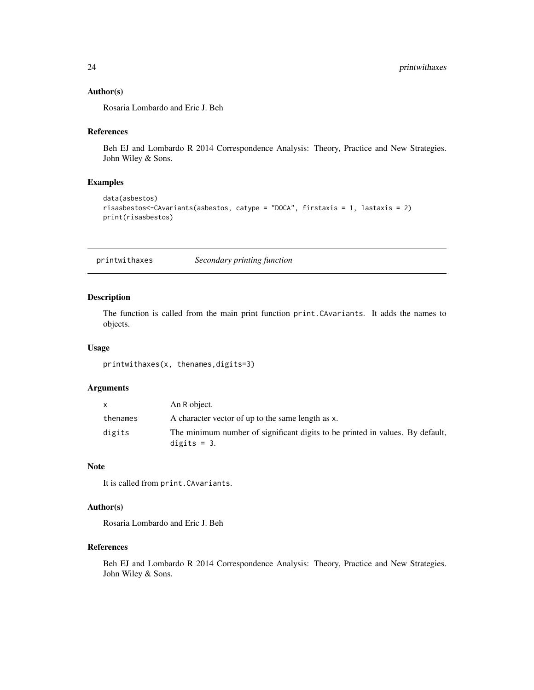#### <span id="page-23-0"></span>Author(s)

Rosaria Lombardo and Eric J. Beh

### References

Beh EJ and Lombardo R 2014 Correspondence Analysis: Theory, Practice and New Strategies. John Wiley & Sons.

# Examples

```
data(asbestos)
risasbestos<-CAvariants(asbestos, catype = "DOCA", firstaxis = 1, lastaxis = 2)
print(risasbestos)
```
printwithaxes *Secondary printing function*

# Description

The function is called from the main print function print.CAvariants. It adds the names to objects.

#### Usage

printwithaxes(x, thenames,digits=3)

# Arguments

|          | An R object.                                                                                   |
|----------|------------------------------------------------------------------------------------------------|
| thenames | A character vector of up to the same length as x.                                              |
| digits   | The minimum number of significant digits to be printed in values. By default,<br>digits $=$ 3. |

#### Note

It is called from print.CAvariants.

#### Author(s)

Rosaria Lombardo and Eric J. Beh

#### References

Beh EJ and Lombardo R 2014 Correspondence Analysis: Theory, Practice and New Strategies. John Wiley & Sons.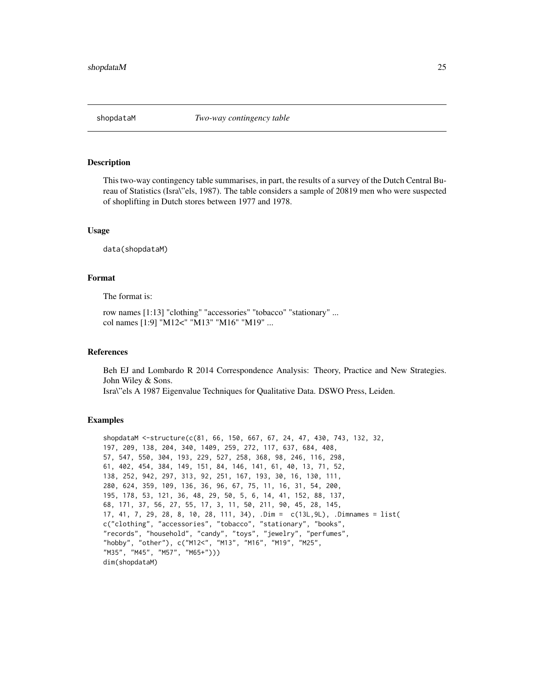<span id="page-24-0"></span>

This two-way contingency table summarises, in part, the results of a survey of the Dutch Central Bureau of Statistics (Isra\"els, 1987). The table considers a sample of 20819 men who were suspected of shoplifting in Dutch stores between 1977 and 1978.

#### Usage

data(shopdataM)

#### Format

The format is:

row names [1:13] "clothing" "accessories" "tobacco" "stationary" ... col names [1:9] "M12<" "M13" "M16" "M19" ...

#### References

Beh EJ and Lombardo R 2014 Correspondence Analysis: Theory, Practice and New Strategies. John Wiley & Sons.

Isra\"els A 1987 Eigenvalue Techniques for Qualitative Data. DSWO Press, Leiden.

```
shopdataM <-structure(c(81, 66, 150, 667, 67, 24, 47, 430, 743, 132, 32,
197, 209, 138, 204, 340, 1409, 259, 272, 117, 637, 684, 408,
57, 547, 550, 304, 193, 229, 527, 258, 368, 98, 246, 116, 298,
61, 402, 454, 384, 149, 151, 84, 146, 141, 61, 40, 13, 71, 52,
138, 252, 942, 297, 313, 92, 251, 167, 193, 30, 16, 130, 111,
280, 624, 359, 109, 136, 36, 96, 67, 75, 11, 16, 31, 54, 200,
195, 178, 53, 121, 36, 48, 29, 50, 5, 6, 14, 41, 152, 88, 137,
68, 171, 37, 56, 27, 55, 17, 3, 11, 50, 211, 90, 45, 28, 145,
17, 41, 7, 29, 28, 8, 10, 28, 111, 34), .Dim = c(13L,9L), .Dimnames = list(
c("clothing", "accessories", "tobacco", "stationary", "books",
"records", "household", "candy", "toys", "jewelry", "perfumes",
"hobby", "other"), c("M12<", "M13", "M16", "M19", "M25",
"M35", "M45", "M57", "M65+")))
dim(shopdataM)
```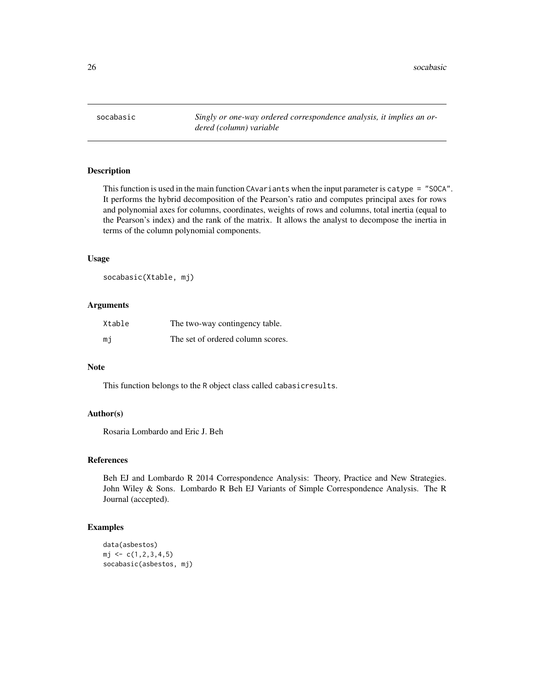<span id="page-25-0"></span>socabasic *Singly or one-way ordered correspondence analysis, it implies an ordered (column) variable*

# Description

This function is used in the main function CAvariants when the input parameter is catype = "SOCA". It performs the hybrid decomposition of the Pearson's ratio and computes principal axes for rows and polynomial axes for columns, coordinates, weights of rows and columns, total inertia (equal to the Pearson's index) and the rank of the matrix. It allows the analyst to decompose the inertia in terms of the column polynomial components.

#### Usage

socabasic(Xtable, mj)

#### Arguments

| Xtable | The two-way contingency table.    |
|--------|-----------------------------------|
| mi     | The set of ordered column scores. |

#### Note

This function belongs to the R object class called cabasicresults.

#### Author(s)

Rosaria Lombardo and Eric J. Beh

#### References

Beh EJ and Lombardo R 2014 Correspondence Analysis: Theory, Practice and New Strategies. John Wiley & Sons. Lombardo R Beh EJ Variants of Simple Correspondence Analysis. The R Journal (accepted).

```
data(asbestos)
mj \leftarrow c(1, 2, 3, 4, 5)socabasic(asbestos, mj)
```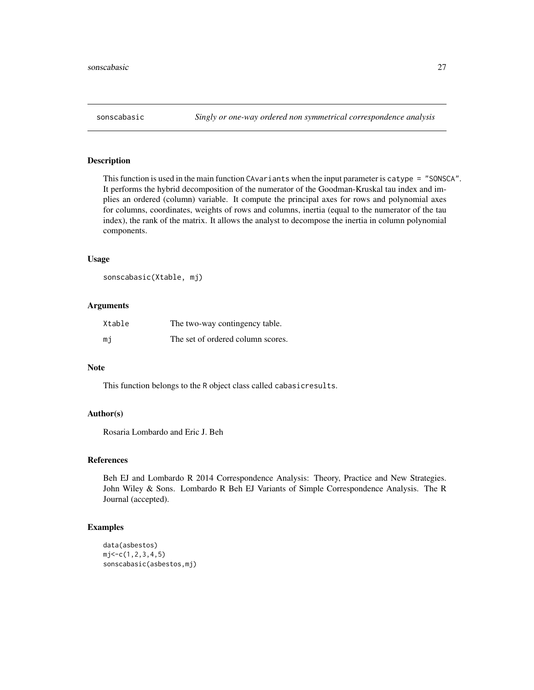<span id="page-26-0"></span>This function is used in the main function CAvariants when the input parameter is catype = "SONSCA". It performs the hybrid decomposition of the numerator of the Goodman-Kruskal tau index and implies an ordered (column) variable. It compute the principal axes for rows and polynomial axes for columns, coordinates, weights of rows and columns, inertia (equal to the numerator of the tau index), the rank of the matrix. It allows the analyst to decompose the inertia in column polynomial components.

#### Usage

```
sonscabasic(Xtable, mj)
```
#### Arguments

| Xtable | The two-way contingency table.    |
|--------|-----------------------------------|
| mi     | The set of ordered column scores. |

#### Note

This function belongs to the R object class called cabasicresults.

#### Author(s)

Rosaria Lombardo and Eric J. Beh

#### References

Beh EJ and Lombardo R 2014 Correspondence Analysis: Theory, Practice and New Strategies. John Wiley & Sons. Lombardo R Beh EJ Variants of Simple Correspondence Analysis. The R Journal (accepted).

```
data(asbestos)
mj < -c(1, 2, 3, 4, 5)sonscabasic(asbestos,mj)
```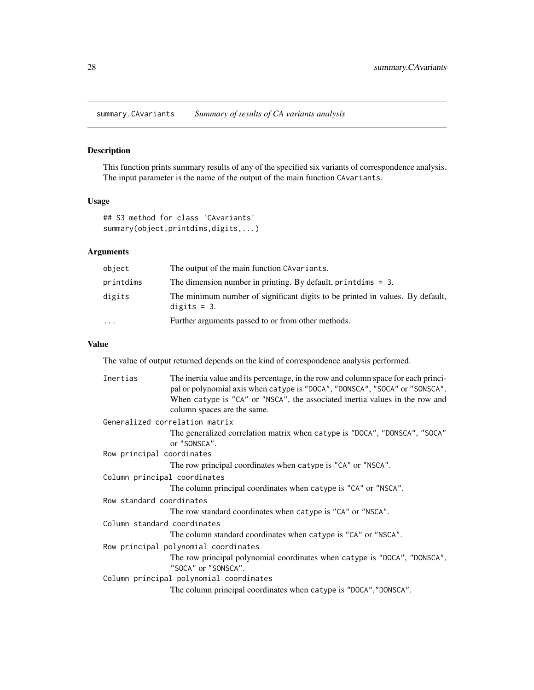<span id="page-27-0"></span>summary.CAvariants *Summary of results of CA variants analysis*

# Description

This function prints summary results of any of the specified six variants of correspondence analysis. The input parameter is the name of the output of the main function CAvariants.

# Usage

```
## S3 method for class 'CAvariants'
summary(object,printdims,digits,...)
```
# Arguments

| object    | The output of the main function CAvariants.                                                    |
|-----------|------------------------------------------------------------------------------------------------|
| printdims | The dimension number in printing. By default, printdims $= 3$ .                                |
| digits    | The minimum number of significant digits to be printed in values. By default,<br>digits $=$ 3. |
| $\ddotsc$ | Further arguments passed to or from other methods.                                             |

#### Value

The value of output returned depends on the kind of correspondence analysis performed.

| Inertias                     | The inertia value and its percentage, in the row and column space for each princi-<br>pal or polynomial axis when catype is "DOCA", "DONSCA", "SOCA" or "SONSCA".<br>When catype is "CA" or "NSCA", the associated inertia values in the row and<br>column spaces are the same. |  |
|------------------------------|---------------------------------------------------------------------------------------------------------------------------------------------------------------------------------------------------------------------------------------------------------------------------------|--|
|                              | Generalized correlation matrix                                                                                                                                                                                                                                                  |  |
|                              | The generalized correlation matrix when catype is "DOCA", "DONSCA", "SOCA"<br>or "SONSCA".                                                                                                                                                                                      |  |
| Row principal coordinates    |                                                                                                                                                                                                                                                                                 |  |
|                              | The row principal coordinates when catype is "CA" or "NSCA".                                                                                                                                                                                                                    |  |
| Column principal coordinates |                                                                                                                                                                                                                                                                                 |  |
|                              | The column principal coordinates when catype is "CA" or "NSCA".                                                                                                                                                                                                                 |  |
| Row standard coordinates     |                                                                                                                                                                                                                                                                                 |  |
|                              | The row standard coordinates when catype is "CA" or "NSCA".                                                                                                                                                                                                                     |  |
| Column standard coordinates  |                                                                                                                                                                                                                                                                                 |  |
|                              | The column standard coordinates when catype is "CA" or "NSCA".                                                                                                                                                                                                                  |  |
|                              | Row principal polynomial coordinates                                                                                                                                                                                                                                            |  |
|                              | The row principal polynomial coordinates when catype is "DOCA", "DONSCA",<br>"SOCA" or "SONSCA".                                                                                                                                                                                |  |
|                              | Column principal polynomial coordinates                                                                                                                                                                                                                                         |  |
|                              | The column principal coordinates when catype is "DOCA", "DONSCA".                                                                                                                                                                                                               |  |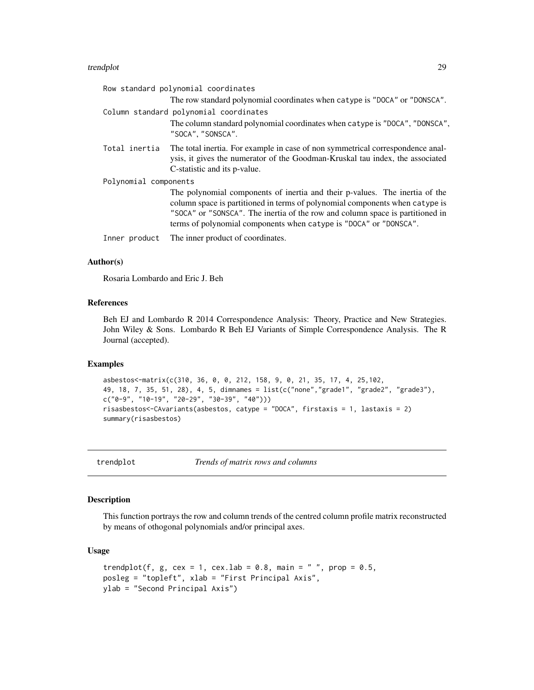#### <span id="page-28-0"></span>trendplot 29

| Row standard polynomial coordinates |                                                                                                                                                                                                                                                                                                                   |  |
|-------------------------------------|-------------------------------------------------------------------------------------------------------------------------------------------------------------------------------------------------------------------------------------------------------------------------------------------------------------------|--|
|                                     | The row standard polynomial coordinates when catype is "DOCA" or "DONSCA".                                                                                                                                                                                                                                        |  |
|                                     | Column standard polynomial coordinates                                                                                                                                                                                                                                                                            |  |
|                                     | The column standard polynomial coordinates when catype is "DOCA", "DONSCA",<br>"SOCA", "SONSCA".                                                                                                                                                                                                                  |  |
| Total inertia                       | The total inertia. For example in case of non symmetrical correspondence anal-<br>ysis, it gives the numerator of the Goodman-Kruskal tau index, the associated<br>C-statistic and its p-value.                                                                                                                   |  |
| Polynomial components               |                                                                                                                                                                                                                                                                                                                   |  |
|                                     | The polynomial components of inertia and their p-values. The inertia of the<br>column space is partitioned in terms of polynomial components when catype is<br>"SOCA" or "SONSCA". The inertia of the row and column space is partitioned in<br>terms of polynomial components when catype is "DOCA" or "DONSCA". |  |
| Inner product                       | The inner product of coordinates.                                                                                                                                                                                                                                                                                 |  |

#### Author(s)

Rosaria Lombardo and Eric J. Beh

#### References

Beh EJ and Lombardo R 2014 Correspondence Analysis: Theory, Practice and New Strategies. John Wiley & Sons. Lombardo R Beh EJ Variants of Simple Correspondence Analysis. The R Journal (accepted).

# Examples

```
asbestos<-matrix(c(310, 36, 0, 0, 212, 158, 9, 0, 21, 35, 17, 4, 25,102,
49, 18, 7, 35, 51, 28), 4, 5, dimnames = list(c("none","grade1", "grade2", "grade3"),
c("0-9", "10-19", "20-29", "30-39", "40"))risasbestos<-CAvariants(asbestos, catype = "DOCA", firstaxis = 1, lastaxis = 2)
summary(risasbestos)
```
trendplot *Trends of matrix rows and columns*

### Description

This function portrays the row and column trends of the centred column profile matrix reconstructed by means of othogonal polynomials and/or principal axes.

# Usage

```
trendplot(f, g, cex = 1, cex.lab = 0.8, main = " ", prop = 0.5,
posleg = "topleft", xlab = "First Principal Axis",
ylab = "Second Principal Axis")
```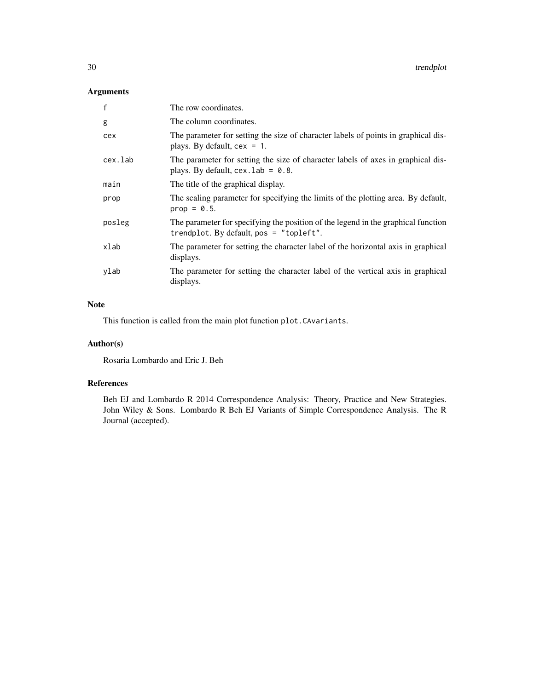# Arguments

| $\mathsf{f}$ | The row coordinates.                                                                                                           |
|--------------|--------------------------------------------------------------------------------------------------------------------------------|
| g            | The column coordinates.                                                                                                        |
| cex          | The parameter for setting the size of character labels of points in graphical dis-<br>plays. By default, $cex = 1$ .           |
| cex.lab      | The parameter for setting the size of character labels of axes in graphical dis-<br>plays. By default, $cex$ . lab = 0.8.      |
| main         | The title of the graphical display.                                                                                            |
| prop         | The scaling parameter for specifying the limits of the plotting area. By default,<br>$prop = 0.5$ .                            |
| posleg       | The parameter for specifying the position of the legend in the graphical function<br>trendplot. By default, $pos = "topleft".$ |
| xlab         | The parameter for setting the character label of the horizontal axis in graphical<br>displays.                                 |
| ylab         | The parameter for setting the character label of the vertical axis in graphical<br>displays.                                   |

# Note

This function is called from the main plot function plot.CAvariants.

# Author(s)

Rosaria Lombardo and Eric J. Beh

# References

Beh EJ and Lombardo R 2014 Correspondence Analysis: Theory, Practice and New Strategies. John Wiley & Sons. Lombardo R Beh EJ Variants of Simple Correspondence Analysis. The R Journal (accepted).